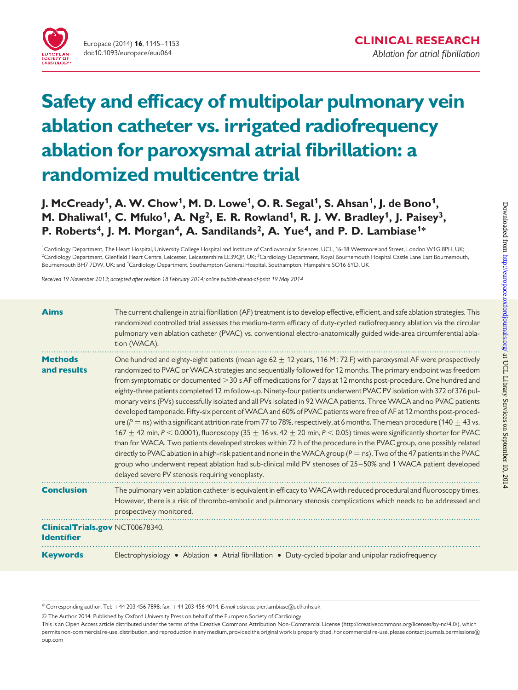

# Safety and efficacy of multipolar pulmonary vein ablation catheter vs. irrigated radiofrequency ablation for paroxysmal atrial fibrillation: a randomized multicentre trial

J. McCready<sup>1</sup>, A. W. Chow<sup>1</sup>, M. D. Lowe<sup>1</sup>, O. R. Segal<sup>1</sup>, S. Ahsan<sup>1</sup>, J. de Bono<sup>1</sup>, M. Dhaliwal<sup>1</sup>, C. Mfuko<sup>1</sup>, A. Ng<sup>2</sup>, E. R. Rowland<sup>1</sup>, R. J. W. Bradley<sup>1</sup>, J. Paisey<sup>3</sup>, P. Roberts<sup>4</sup>, J. M. Morgan<sup>4</sup>, A. Sandilands<sup>2</sup>, A. Yue<sup>4</sup>, and P. D. Lambiase<sup>1\*</sup>

<sup>1</sup>Cardiology Department, The Heart Hospital, University College Hospital and Institute of Cardiovascular Sciences, UCL, 16-18 Westmoreland Street, London W1G 8PH, UK <sup>2</sup>Cardiology Department, Glenfield Heart Centre, Leicester, Leicestershire LE39QP, UK; <sup>3</sup>Cardiology Department, Royal Bournemouth Hospital Castle Lane East Bournemouth Bournemouth BH7 7DW, UK; and <sup>4</sup>Cardiology Department, Southampton General Hospital, Southampton, Hampshire SO16 6YD, UK

Received 19 November 2013; accepted after revision 18 February 2014; online publish-ahead-of-print 19 May 2014

| <b>Aims</b>                                                 | The current challenge in atrial fibrillation (AF) treatment is to develop effective, efficient, and safe ablation strategies. This<br>randomized controlled trial assesses the medium-term efficacy of duty-cycled radiofrequency ablation via the circular<br>pulmonary vein ablation catheter (PVAC) vs. conventional electro-anatomically guided wide-area circumferential abla-<br>tion (WACA).                                                                                                                                                                                                                                                                                                                                                                                                                                                                                                                                                                                                                                                                                                                                                                                                                                                                                                                                                                                                                              |
|-------------------------------------------------------------|----------------------------------------------------------------------------------------------------------------------------------------------------------------------------------------------------------------------------------------------------------------------------------------------------------------------------------------------------------------------------------------------------------------------------------------------------------------------------------------------------------------------------------------------------------------------------------------------------------------------------------------------------------------------------------------------------------------------------------------------------------------------------------------------------------------------------------------------------------------------------------------------------------------------------------------------------------------------------------------------------------------------------------------------------------------------------------------------------------------------------------------------------------------------------------------------------------------------------------------------------------------------------------------------------------------------------------------------------------------------------------------------------------------------------------|
| <b>Methods</b><br>and results                               | One hundred and eighty-eight patients (mean age $62 \pm 12$ years, 116 M : 72 F) with paroxysmal AF were prospectively<br>randomized to PVAC or WACA strategies and sequentially followed for 12 months. The primary endpoint was freedom<br>from symptomatic or documented > 30 s AF off medications for 7 days at 12 months post-procedure. One hundred and<br>eighty-three patients completed 12 m follow-up. Ninety-four patients underwent PVAC PV isolation with 372 of 376 pul-<br>monary veins (PVs) successfully isolated and all PVs isolated in 92 WACA patients. Three WACA and no PVAC patients<br>developed tamponade. Fifty-six percent of WACA and 60% of PVAC patients were free of AF at 12 months post-proced-<br>ure (P = ns) with a significant attrition rate from 77 to 78%, respectively, at 6 months. The mean procedure (140 $\pm$ 43 vs.<br>167 $\pm$ 42 min, P < 0.0001), fluoroscopy (35 $\pm$ 16 vs. 42 $\pm$ 20 min, P < 0.05) times were significantly shorter for PVAC<br>than for WACA. Two patients developed strokes within 72 h of the procedure in the PVAC group, one possibly related<br>directly to PVAC ablation in a high-risk patient and none in the WACA group ( $P =$ ns). Two of the 47 patients in the PVAC<br>group who underwent repeat ablation had sub-clinical mild PV stenoses of 25-50% and 1 WACA patient developed<br>delayed severe PV stenosis requiring venoplasty. |
| <b>Conclusion</b>                                           | The pulmonary vein ablation catheter is equivalent in efficacy to WACA with reduced procedural and fluoroscopy times.<br>However, there is a risk of thrombo-embolic and pulmonary stenosis complications which needs to be addressed and<br>prospectively monitored.                                                                                                                                                                                                                                                                                                                                                                                                                                                                                                                                                                                                                                                                                                                                                                                                                                                                                                                                                                                                                                                                                                                                                            |
| <b>ClinicalTrials.gov NCT00678340.</b><br><b>Identifier</b> |                                                                                                                                                                                                                                                                                                                                                                                                                                                                                                                                                                                                                                                                                                                                                                                                                                                                                                                                                                                                                                                                                                                                                                                                                                                                                                                                                                                                                                  |
| <b>Keywords</b>                                             | Electrophysiology • Ablation • Atrial fibrillation • Duty-cycled bipolar and unipolar radiofrequency                                                                                                                                                                                                                                                                                                                                                                                                                                                                                                                                                                                                                                                                                                                                                                                                                                                                                                                                                                                                                                                                                                                                                                                                                                                                                                                             |

& The Author 2014. Published by Oxford University Press on behalf of the European Society of Cardiology.

<sup>\*</sup> Corresponding author. Tel: +44 203 456 7898; fax: +44 203 456 4014. E-mail address: pier.lambiase@uclh.nhs.uk

This is an Open Access article distributed under the terms of the Creative Commons Attribution Non-Commercial License (http://creativecommons.org/licenses/by-nc/4.0/), which permits non-commercial re-use, distribution, and reproduction in any medium, provided the original work is properly cited. For commercial re-use, please contact journals.permissions@ oup.com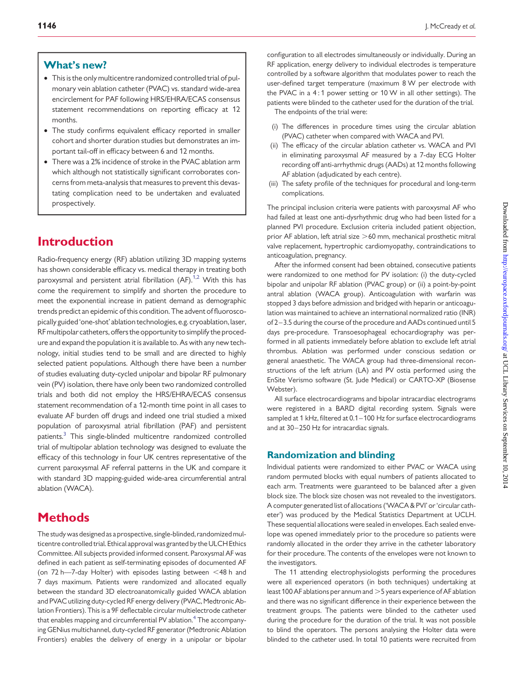### What's new?

- This is the only multicentre randomized controlled trial of pulmonary vein ablation catheter (PVAC) vs. standard wide-area encirclement for PAF following HRS/EHRA/ECAS consensus statement recommendations on reporting efficacy at 12 months.
- The study confirms equivalent efficacy reported in smaller cohort and shorter duration studies but demonstrates an important tail-off in efficacy between 6 and 12 months.
- There was a 2% incidence of stroke in the PVAC ablation arm which although not statistically significant corroborates concerns from meta-analysis that measures to prevent this devastating complication need to be undertaken and evaluated prospectively.

# Introduction

Radio-frequency energy (RF) ablation utilizing 3D mapping systems has shown considerable efficacy vs. medical therapy in treating both paroxysmal and persistent atrial fibrillation  $(AF)$ .<sup>1,2</sup> With this has come the requirement to simplify and shorten the procedure to meet the exponential increase in patient demand as demographic trends predict an epidemic of this condition. The advent of fluoroscopically guided 'one-shot' ablation technologies, e.g. cryoablation, laser, RF multipolar catheters, offers the opportunity to simplify the procedure and expand the population it is available to. As with any new technology, initial studies tend to be small and are directed to highly selected patient populations. Although there have been a number of studies evaluating duty-cycled unipolar and bipolar RF pulmonary vein (PV) isolation, there have only been two randomized controlled trials and both did not employ the HRS/EHRA/ECAS consensus statement recommendation of a 12-month time point in all cases to evaluate AF burden off drugs and indeed one trial studied a mixed population of paroxysmal atrial fibrillation (PAF) and persistent patients.<sup>[3](#page-8-0)</sup> This single-blinded multicentre randomized controlled trial of multipolar ablation technology was designed to evaluate the efficacy of this technology in four UK centres representative of the current paroxysmal AF referral patterns in the UK and compare it with standard 3D mapping-guided wide-area circumferential antral ablation (WACA).

# **Methods**

The study was designed as a prospective, single-blinded, randomized multicentre controlled trial. Ethical approval was granted by the ULCH Ethics Committee. All subjects provided informed consent. Paroxysmal AF was defined in each patient as self-terminating episodes of documented AF (on 72 h–7-day Holter) with episodes lasting between  $\leq$ 48 h and 7 days maximum. Patients were randomized and allocated equally between the standard 3D electroanatomically guided WACA ablation and PVAC utilizing duty-cycled RF energy delivery (PVAC, Medtronic Ablation Frontiers). This is a 9F deflectable circular multielectrode catheter that enables mapping and circumferential PV ablation.<sup>[4](#page-8-0)</sup> The accompanying GENius multichannel, duty-cycled RF generator (Medtronic Ablation Frontiers) enables the delivery of energy in a unipolar or bipolar

configuration to all electrodes simultaneously or individually. During an RF application, energy delivery to individual electrodes is temperature controlled by a software algorithm that modulates power to reach the user-defined target temperature (maximum 8 W per electrode with the PVAC in a 4 : 1 power setting or 10 W in all other settings). The patients were blinded to the catheter used for the duration of the trial.

The endpoints of the trial were:

- (i) The differences in procedure times using the circular ablation (PVAC) catheter when compared with WACA and PVI.
- (ii) The efficacy of the circular ablation catheter vs. WACA and PVI in eliminating paroxysmal AF measured by a 7-day ECG Holter recording off anti-arrhythmic drugs (AADs) at 12 months following AF ablation (adjudicated by each centre).
- (iii) The safety profile of the techniques for procedural and long-term complications.

The principal inclusion criteria were patients with paroxysmal AF who had failed at least one anti-dysrhythmic drug who had been listed for a planned PVI procedure. Exclusion criteria included patient objection, prior AF ablation, left atrial size  $>60$  mm, mechanical prosthetic mitral valve replacement, hypertrophic cardiomyopathy, contraindications to anticoagulation, pregnancy.

After the informed consent had been obtained, consecutive patients were randomized to one method for PV isolation: (i) the duty-cycled bipolar and unipolar RF ablation (PVAC group) or (ii) a point-by-point antral ablation (WACA group). Anticoagulation with warfarin was stopped 3 days before admission and bridged with heparin or anticoagulation was maintained to achieve an international normalized ratio (INR) of 2-3.5 during the course of the procedure and AADs continued until 5 days pre-procedure. Transoesophageal echocardiography was performed in all patients immediately before ablation to exclude left atrial thrombus. Ablation was performed under conscious sedation or general anaesthetic. The WACA group had three-dimensional reconstructions of the left atrium (LA) and PV ostia performed using the EnSite Verismo software (St. Jude Medical) or CARTO-XP (Biosense Webster).

All surface electrocardiograms and bipolar intracardiac electrograms were registered in a BARD digital recording system. Signals were sampled at 1 kHz, filtered at 0.1 – 100 Hz for surface electrocardiograms and at 30-250 Hz for intracardiac signals.

### Randomization and blinding

Individual patients were randomized to either PVAC or WACA using random permuted blocks with equal numbers of patients allocated to each arm. Treatments were guaranteed to be balanced after a given block size. The block size chosen was not revealed to the investigators. A computer generated list of allocations ('WACA & PVI' or 'circular catheter') was produced by the Medical Statistics Department at UCLH. These sequential allocations were sealed in envelopes. Each sealed envelope was opened immediately prior to the procedure so patients were randomly allocated in the order they arrive in the catheter laboratory for their procedure. The contents of the envelopes were not known to the investigators.

The 11 attending electrophysiologists performing the procedures were all experienced operators (in both techniques) undertaking at least 100 AF ablations per annum and  $>$  5 years experience of AF ablation and there was no significant difference in their experience between the treatment groups. The patients were blinded to the catheter used during the procedure for the duration of the trial. It was not possible to blind the operators. The persons analysing the Holter data were blinded to the catheter used. In total 10 patients were recruited from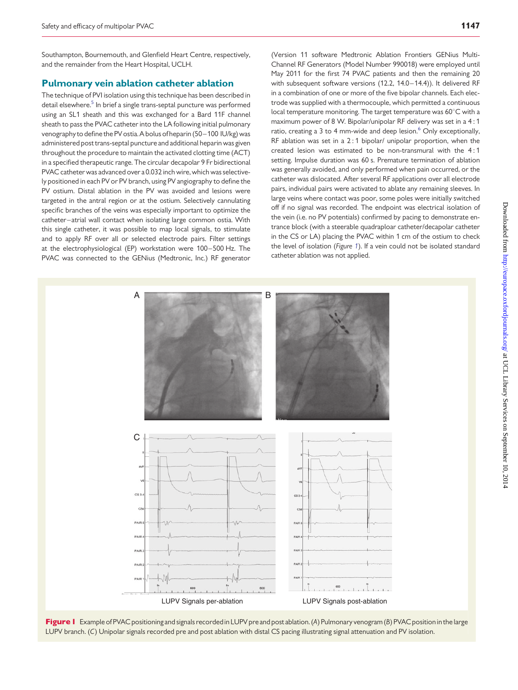Southampton, Bournemouth, and Glenfield Heart Centre, respectively, and the remainder from the Heart Hospital, UCLH.

### Pulmonary vein ablation catheter ablation

The technique of PVI isolation using this technique has been described in detail elsewhere.<sup>[5](#page-8-0)</sup> In brief a single trans-septal puncture was performed using an SL1 sheath and this was exchanged for a Bard 11F channel sheath to pass the PVAC catheter into the LA following initial pulmonary venography to define the PV ostia.A bolus of heparin (50– 100 IU/kg) was administered post trans-septal puncture and additional heparin was given throughout the procedure to maintain the activated clotting time (ACT) in a specified therapeutic range. The circular decapolar 9 Fr bidirectional PVAC catheter was advanced over a 0.032 inch wire, which was selectively positioned in each PV or PV branch, using PV angiography to define the PV ostium. Distal ablation in the PV was avoided and lesions were targeted in the antral region or at the ostium. Selectively cannulating specific branches of the veins was especially important to optimize the catheter–atrial wall contact when isolating large common ostia. With this single catheter, it was possible to map local signals, to stimulate and to apply RF over all or selected electrode pairs. Filter settings at the electrophysiological (EP) workstation were 100 – 500 Hz. The PVAC was connected to the GENius (Medtronic, Inc.) RF generator

(Version 11 software Medtronic Ablation Frontiers GENius Multi-Channel RF Generators (Model Number 990018) were employed until May 2011 for the first 74 PVAC patients and then the remaining 20 with subsequent software versions (12.2, 14.0–14.4)). It delivered RF in a combination of one or more of the five bipolar channels. Each electrode was supplied with a thermocouple, which permitted a continuous local temperature monitoring. The target temperature was  $60^{\circ}$ C with a maximum power of 8 W. Bipolar/unipolar RF delivery was set in a 4 : 1 ratio, creating a 3 to 4 mm-wide and deep lesion.<sup>[6](#page-8-0)</sup> Only exceptionally, RF ablation was set in a 2 : 1 bipolar/ unipolar proportion, when the created lesion was estimated to be non-transmural with the 4 : 1 setting. Impulse duration was 60 s. Premature termination of ablation was generally avoided, and only performed when pain occurred, or the catheter was dislocated. After several RF applications over all electrode pairs, individual pairs were activated to ablate any remaining sleeves. In large veins where contact was poor, some poles were initially switched off if no signal was recorded. The endpoint was electrical isolation of the vein (i.e. no PV potentials) confirmed by pacing to demonstrate entrance block (with a steerable quadraploar catheter/decapolar catheter in the CS or LA) placing the PVAC within 1 cm of the ostium to check the level of isolation (Figure 1). If a vein could not be isolated standard catheter ablation was not applied.



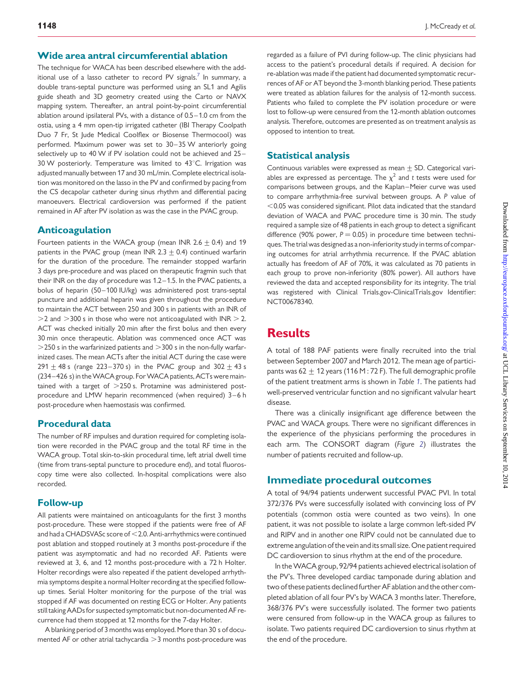### Wide area antral circumferential ablation

The technique for WACA has been described elsewhere with the add-itional use of a lasso catheter to record PV signals.<sup>[7](#page-8-0)</sup> In summary, a double trans-septal puncture was performed using an SL1 and Agilis guide sheath and 3D geometry created using the Carto or NAVX mapping system. Thereafter, an antral point-by-point circumferential ablation around ipsilateral PVs, with a distance of 0.5 – 1.0 cm from the ostia, using a 4 mm open-tip irrigated catheter (IBI Therapy Coolpath Duo 7 Fr, St Jude Medical Coolflex or Biosense Thermocool) was performed. Maximum power was set to 30-35 W anteriorly going selectively up to 40 W if PV isolation could not be achieved and 25-30 W posteriorly. Temperature was limited to  $43^{\circ}$ C. Irrigation was adjusted manually between 17 and 30 mL/min. Complete electrical isolation was monitored on the lasso in the PV and confirmed by pacing from the CS decapolar catheter during sinus rhythm and differential pacing manoeuvers. Electrical cardioversion was performed if the patient remained in AF after PV isolation as was the case in the PVAC group.

### Anticoagulation

Fourteen patients in the WACA group (mean INR 2.6  $\pm$  0.4) and 19 patients in the PVAC group (mean INR 2.3  $\pm$  0.4) continued warfarin for the duration of the procedure. The remainder stopped warfarin 3 days pre-procedure and was placed on therapeutic fragmin such that their INR on the day of procedure was 1.2– 1.5. In the PVAC patients, a bolus of heparin (50-100 IU/kg) was administered post trans-septal puncture and additional heparin was given throughout the procedure to maintain the ACT between 250 and 300 s in patients with an INR of  $>$ 2 and  $>$ 300 s in those who were not anticoagulated with INR  $>$  2. ACT was checked initially 20 min after the first bolus and then every 30 min once therapeutic. Ablation was commenced once ACT was  $>$  250 s in the warfarinized patients and  $>$  300 s in the non-fully warfarinized cases. The mean ACTs after the initial ACT during the case were 291  $\pm$  48 s (range 223 – 370 s) in the PVAC group and 302  $\pm$  43 s (234-426 s) in the WACA group. For WACA patients, ACTs were maintained with a target of  $>$  250 s. Protamine was administered postprocedure and LMW heparin recommenced (when required) 3-6 h post-procedure when haemostasis was confirmed.

# Procedural data

The number of RF impulses and duration required for completing isolation were recorded in the PVAC group and the total RF time in the WACA group. Total skin-to-skin procedural time, left atrial dwell time (time from trans-septal puncture to procedure end), and total fluoroscopy time were also collected. In-hospital complications were also recorded.

# Follow-up

All patients were maintained on anticoagulants for the first 3 months post-procedure. These were stopped if the patients were free of AF and had a CHADSVASc score of <2.0. Anti-arrhythmics were continued post ablation and stopped routinely at 3 months post-procedure if the patient was asymptomatic and had no recorded AF. Patients were reviewed at 3, 6, and 12 months post-procedure with a 72 h Holter. Holter recordings were also repeated if the patient developed arrhythmia symptoms despite a normal Holter recording at the specified followup times. Serial Holter monitoring for the purpose of the trial was stopped if AF was documented on resting ECG or Holter. Any patients still taking AADs for suspected symptomatic but non-documented AF recurrence had them stopped at 12 months for the 7-day Holter.

A blanking period of 3 months was employed. More than 30 s of documented AF or other atrial tachycardia  $>$ 3 months post-procedure was

regarded as a failure of PVI during follow-up. The clinic physicians had access to the patient's procedural details if required. A decision for re-ablation was made if the patient had documented symptomatic recurrences of AF or AT beyond the 3-month blanking period. These patients were treated as ablation failures for the analysis of 12-month success. Patients who failed to complete the PV isolation procedure or were lost to follow-up were censured from the 12-month ablation outcomes analysis. Therefore, outcomes are presented as on treatment analysis as opposed to intention to treat.

# Statistical analysis

Continuous variables were expressed as mean  $+$  SD. Categorical variables are expressed as percentage. The  $\chi^2$  and t tests were used for comparisons between groups, and the Kaplan–Meier curve was used to compare arrhythmia-free survival between groups. A P value of  $<$  0.05 was considered significant. Pilot data indicated that the standard deviation of WACA and PVAC procedure time is 30 min. The study required a sample size of 48 patients in each group to detect a significant difference (90% power,  $P = 0.05$ ) in procedure time between techniques. The trial was designed as a non-inferiority study in terms of comparing outcomes for atrial arrhythmia recurrence. If the PVAC ablation actually has freedom of AF of 70%, it was calculated as 70 patients in each group to prove non-inferiority (80% power). All authors have reviewed the data and accepted responsibility for its integrity. The trial was registered with Clinical Trials.gov-ClinicalTrials.gov Identifier: NCT00678340.

# **Results**

A total of 188 PAF patients were finally recruited into the trial between September 2007 and March 2012. The mean age of participants was 62  $\pm$  12 years (116 M : 72 F). The full demographic profile of the patient treatment arms is shown in Table [1](#page-4-0). The patients had well-preserved ventricular function and no significant valvular heart disease.

There was a clinically insignificant age difference between the PVAC and WACA groups. There were no significant differences in the experience of the physicians performing the procedures in each arm. The CONSORT diagram (Figure [2](#page-4-0)) illustrates the number of patients recruited and follow-up.

# Immediate procedural outcomes

A total of 94/94 patients underwent successful PVAC PVI. In total 372/376 PVs were successfully isolated with convincing loss of PV potentials (common ostia were counted as two veins). In one patient, it was not possible to isolate a large common left-sided PV and RIPV and in another one RIPV could not be cannulated due to extreme angulation of the vein and its small size. One patient required DC cardioversion to sinus rhythm at the end of the procedure.

In theWACA group, 92/94 patients achieved electrical isolation of the PV's. Three developed cardiac tamponade during ablation and two of these patients declined further AF ablation and the other completed ablation of all four PV's by WACA 3 months later. Therefore, 368/376 PV's were successfully isolated. The former two patients were censured from follow-up in the WACA group as failures to isolate. Two patients required DC cardioversion to sinus rhythm at the end of the procedure.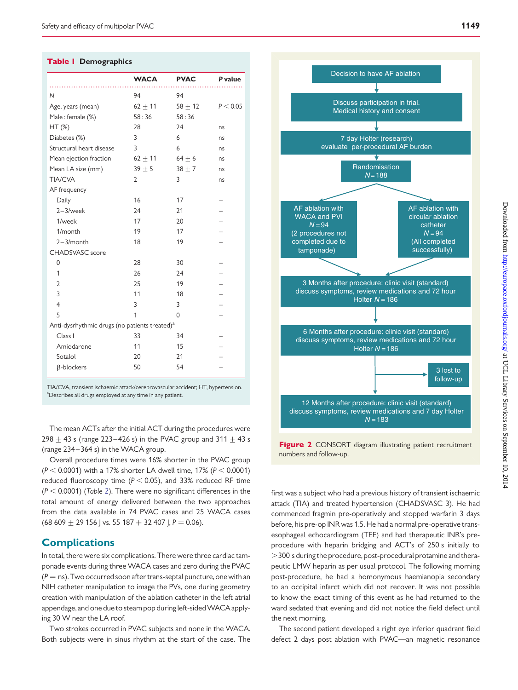#### <span id="page-4-0"></span>Table 1 Demographics

|                                                           | <b>WACA</b>    | <b>PVAC</b> | P value  |  |  |
|-----------------------------------------------------------|----------------|-------------|----------|--|--|
|                                                           |                |             |          |  |  |
| $\mathsf{N}$                                              | 94             | 94          |          |  |  |
| Age, years (mean)                                         | $62 + 11$      | $58 + 12$   | P < 0.05 |  |  |
| Male: female (%)                                          | 58:36          | 58:36       |          |  |  |
| $HT$ (%)                                                  | 28             | 24          | ns       |  |  |
| Diabetes (%)                                              | 3              | 6           | ns       |  |  |
| Structural heart disease                                  | 3              | 6           | ns       |  |  |
| Mean ejection fraction                                    | $62 \pm 11$    | $64 \pm 6$  | ns       |  |  |
| Mean LA size (mm)                                         | $39 \pm 5$     | $38 \pm 7$  | ns       |  |  |
| <b>TIA/CVA</b>                                            | $\overline{2}$ | 3           | ns       |  |  |
| AF frequency                                              |                |             |          |  |  |
| Daily                                                     | 16             | 17          |          |  |  |
| $2-3$ /week                                               | 24             | 21          |          |  |  |
| 1/week                                                    | 17             | 20          |          |  |  |
| 1/month                                                   | 19             | 17          |          |  |  |
| $2 - 3/m$ onth                                            | 18             | 19          |          |  |  |
| <b>CHADSVASC</b> score                                    |                |             |          |  |  |
| 0                                                         | 28             | 30          |          |  |  |
| 1                                                         | 26             | 24          |          |  |  |
| 2                                                         | 25             | 19          |          |  |  |
| 3                                                         | 11             | 18          |          |  |  |
| $\overline{4}$                                            | 3              | 3           |          |  |  |
| 5                                                         | 1              | $\mathbf 0$ |          |  |  |
| Anti-dysrhythmic drugs (no patients treated) <sup>a</sup> |                |             |          |  |  |
| Class I                                                   | 33             | 34          |          |  |  |
| Amiodarone                                                | 11             | 15          |          |  |  |
| Sotalol                                                   | 20             | 21          |          |  |  |
| <b>ß-blockers</b>                                         | 50             | 54          |          |  |  |
|                                                           |                |             |          |  |  |
|                                                           |                |             |          |  |  |

TIA/CVA, transient ischaemic attack/cerebrovascular accident; HT, hypertension. <sup>a</sup>Describes all drugs employed at any time in any patient.

The mean ACTs after the initial ACT during the procedures were 298  $\pm$  43 s (range 223–426 s) in the PVAC group and 311  $\pm$  43 s (range 234– 364 s) in the WACA group.

Overall procedure times were 16% shorter in the PVAC group  $(P < 0.0001)$  with a 17% shorter LA dwell time, 17%  $(P < 0.0001)$ reduced fluoroscopy time ( $P < 0.05$ ), and 33% reduced RF time  $(P < 0.0001)$  (Table [2](#page-5-0)). There were no significant differences in the total amount of energy delivered between the two approaches from the data available in 74 PVAC cases and 25 WACA cases  $(68 609 + 29 156$  J vs. 55 187 + 32 407 J, P = 0.06).

# **Complications**

In total, there were six complications. There were three cardiac tamponade events during three WACA cases and zero during the PVAC  $(P = ns)$ . Two occurred soon after trans-septal puncture, one with an NIH catheter manipulation to image the PVs, one during geometry creation with manipulation of the ablation catheter in the left atrial appendage, and one due to steam pop during left-sidedWACA applying 30 W near the LA roof.

Two strokes occurred in PVAC subjects and none in the WACA. Both subjects were in sinus rhythm at the start of the case. The



Figure 2 CONSORT diagram illustrating patient recruitment numbers and follow-up.

first was a subject who had a previous history of transient ischaemic attack (TIA) and treated hypertension (CHADSVASC 3). He had commenced fragmin pre-operatively and stopped warfarin 3 days before, his pre-op INR was 1.5. He had a normal pre-operative transesophageal echocardiogram (TEE) and had therapeutic INR's preprocedure with heparin bridging and ACT's of 250 s initially to .300 s during the procedure, post-procedural protamine and therapeutic LMW heparin as per usual protocol. The following morning post-procedure, he had a homonymous haemianopia secondary to an occipital infarct which did not recover. It was not possible to know the exact timing of this event as he had returned to the ward sedated that evening and did not notice the field defect until the next morning.

The second patient developed a right eye inferior quadrant field defect 2 days post ablation with PVAC—an magnetic resonance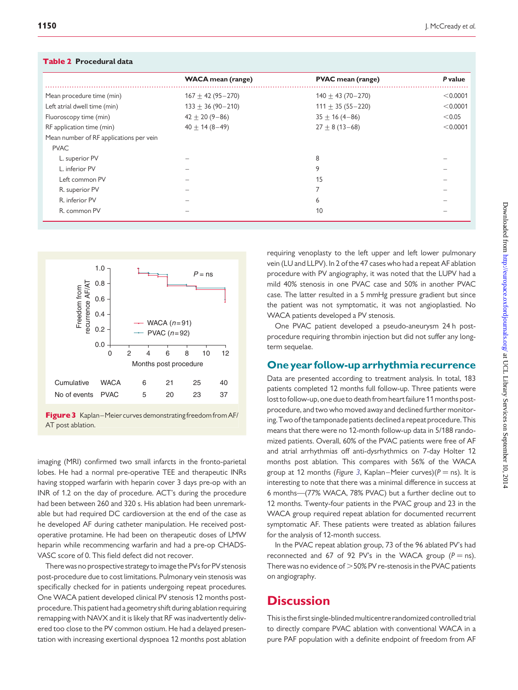Table 2 Procedural data

<span id="page-5-0"></span>

| <b>I ADIC 4</b> FIULEUUI ALUALA         |                          |                          |          |  |  |  |
|-----------------------------------------|--------------------------|--------------------------|----------|--|--|--|
|                                         | <b>WACA</b> mean (range) | <b>PVAC</b> mean (range) | P value  |  |  |  |
| Mean procedure time (min)               | $167 + 42(95 - 270)$     | $140 \pm 43(70 - 270)$   | < 0.0001 |  |  |  |
| Left atrial dwell time (min)            | $133 \pm 36 (90 - 210)$  | $111 \pm 35(55 - 220)$   | < 0.0001 |  |  |  |
| Fluoroscopy time (min)                  | $42 \pm 20(9 - 86)$      | $35 \pm 16(4 - 86)$      | < 0.05   |  |  |  |
| RF application time (min)               | $40 + 14(8 - 49)$        | $27 \pm 8(13 - 68)$      | < 0.0001 |  |  |  |
| Mean number of RF applications per vein |                          |                          |          |  |  |  |
| <b>PVAC</b>                             |                          |                          |          |  |  |  |
| L. superior PV                          |                          | 8                        |          |  |  |  |
| L. inferior PV                          |                          | 9                        |          |  |  |  |
| Left common PV                          |                          | 15                       |          |  |  |  |
| R. superior PV                          |                          | 7                        |          |  |  |  |
| R. inferior PV                          |                          | 6                        |          |  |  |  |
| R. common PV                            |                          | 10                       |          |  |  |  |





imaging (MRI) confirmed two small infarcts in the fronto-parietal lobes. He had a normal pre-operative TEE and therapeutic INRs having stopped warfarin with heparin cover 3 days pre-op with an INR of 1.2 on the day of procedure. ACT's during the procedure had been between 260 and 320 s. His ablation had been unremarkable but had required DC cardioversion at the end of the case as he developed AF during catheter manipulation. He received postoperative protamine. He had been on therapeutic doses of LMW heparin while recommencing warfarin and had a pre-op CHADS-VASC score of 0. This field defect did not recover.

There was no prospective strategy to image the PVs for PV stenosis post-procedure due to cost limitations. Pulmonary vein stenosis was specifically checked for in patients undergoing repeat procedures. One WACA patient developed clinical PV stenosis 12 months postprocedure. This patient had a geometry shift during ablation requiring remapping with NAVX and it is likely that RF was inadvertently delivered too close to the PV common ostium. He had a delayed presentation with increasing exertional dyspnoea 12 months post ablation requiring venoplasty to the left upper and left lower pulmonary vein (LU and LLPV). In 2 of the 47 cases who had a repeat AF ablation procedure with PV angiography, it was noted that the LUPV had a mild 40% stenosis in one PVAC case and 50% in another PVAC case. The latter resulted in a 5 mmHg pressure gradient but since the patient was not symptomatic, it was not angioplastied. No WACA patients developed a PV stenosis.

One PVAC patient developed a pseudo-aneurysm 24 h postprocedure requiring thrombin injection but did not suffer any longterm sequelae.

# One year follow-up arrhythmia recurrence

Data are presented according to treatment analysis. In total, 183 patients completed 12 months full follow-up. Three patients were lost to follow-up, one due to death from heart failure 11 months postprocedure, and two who moved away and declined further monitoring. Two of the tamponade patients declined a repeat procedure. This means that there were no 12-month follow-up data in 5/188 randomized patients. Overall, 60% of the PVAC patients were free of AF and atrial arrhythmias off anti-dysrhythmics on 7-day Holter 12 months post ablation. This compares with 56% of the WACA group at 12 months (Figure 3, Kaplan–Meier curves)( $P =$ ns). It is interesting to note that there was a minimal difference in success at 6 months—(77% WACA, 78% PVAC) but a further decline out to 12 months. Twenty-four patients in the PVAC group and 23 in the WACA group required repeat ablation for documented recurrent symptomatic AF. These patients were treated as ablation failures for the analysis of 12-month success.

In the PVAC repeat ablation group, 73 of the 96 ablated PV's had reconnected and 67 of 92 PV's in the WACA group ( $P =$ ns). There was no evidence of  $>$  50% PV re-stenosis in the PVAC patients on angiography.

# **Discussion**

This is the first single-blinded multicentre randomized controlled trial to directly compare PVAC ablation with conventional WACA in a pure PAF population with a definite endpoint of freedom from AF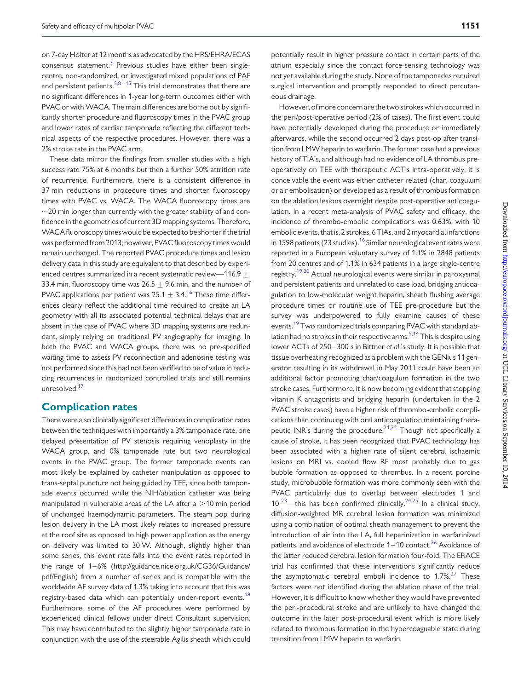on 7-day Holter at 12 months as advocated by the HRS/EHRA/ECAS consensus statement. $3$  Previous studies have either been singlecentre, non-randomized, or investigated mixed populations of PAF and persistent patients. $5,8-15$  $5,8-15$  $5,8-15$  $5,8-15$  This trial demonstrates that there are no significant differences in 1-year long-term outcomes either with PVAC or with WACA. The main differences are borne out by significantly shorter procedure and fluoroscopy times in the PVAC group and lower rates of cardiac tamponade reflecting the different technical aspects of the respective procedures. However, there was a 2% stroke rate in the PVAC arm.

These data mirror the findings from smaller studies with a high success rate 75% at 6 months but then a further 50% attrition rate of recurrence. Furthermore, there is a consistent difference in 37 min reductions in procedure times and shorter fluoroscopy times with PVAC vs. WACA. The WACA fluoroscopy times are  $\sim$ 20 min longer than currently with the greater stability of and confidence in the geometries of current 3D mapping systems. Therefore, WACA fluoroscopy times would be expected to be shorter if the trial was performed from 2013; however, PVAC fluoroscopy times would remain unchanged. The reported PVAC procedure times and lesion delivery data in this study are equivalent to that described by experienced centres summarized in a recent systematic review—116.9  $+$ 33.4 min, fluoroscopy time was  $26.5 + 9.6$  min, and the number of PVAC applications per patient was  $25.1 \pm 3.4$ .<sup>[16](#page-8-0)</sup> These time differences clearly reflect the additional time required to create an LA geometry with all its associated potential technical delays that are absent in the case of PVAC where 3D mapping systems are redundant, simply relying on traditional PV angiography for imaging. In both the PVAC and WACA groups, there was no pre-specified waiting time to assess PV reconnection and adenosine testing was not performed since this had not been verified to be of value in reducing recurrences in randomized controlled trials and still remains unresolved.<sup>17</sup>

#### Complication rates

There were also clinically significant differences in complication rates between the techniques with importantly a 3% tamponade rate, one delayed presentation of PV stenosis requiring venoplasty in the WACA group, and 0% tamponade rate but two neurological events in the PVAC group. The former tamponade events can most likely be explained by catheter manipulation as opposed to trans-septal puncture not being guided by TEE, since both tamponade events occurred while the NIH/ablation catheter was being manipulated in vulnerable areas of the LA after a  $>$  10 min period of unchanged haemodynamic parameters. The steam pop during lesion delivery in the LA most likely relates to increased pressure at the roof site as opposed to high power application as the energy on delivery was limited to 30 W. Although, slightly higher than some series, this event rate falls into the event rates reported in the range of 1-6% ([http://guidance.nice.org.uk/CG36/Guidance/](http://guidance.nice.org.uk/CG36/Guidance/pdf/English) [pdf/English\)](http://guidance.nice.org.uk/CG36/Guidance/pdf/English) from a number of series and is compatible with the worldwide AF survey data of 1.3% taking into account that this was registry-based data which can potentially under-report events.<sup>[18](#page-8-0)</sup> Furthermore, some of the AF procedures were performed by experienced clinical fellows under direct Consultant supervision. This may have contributed to the slightly higher tamponade rate in conjunction with the use of the steerable Agilis sheath which could

potentially result in higher pressure contact in certain parts of the atrium especially since the contact force-sensing technology was not yet available during the study. None of the tamponades required surgical intervention and promptly responded to direct percutaneous drainage.

However, of more concern are the two strokes which occurred in the peri/post-operative period (2% of cases). The first event could have potentially developed during the procedure or immediately afterwards, while the second occurred 2 days post-op after transition from LMW heparin to warfarin. The former case had a previous history of TIA's, and although had no evidence of LA thrombus preoperatively on TEE with therapeutic ACT's intra-operatively, it is conceivable the event was either catheter related (char, coagulum or air embolisation) or developed as a result of thrombus formation on the ablation lesions overnight despite post-operative anticoagulation. In a recent meta-analysis of PVAC safety and efficacy, the incidence of thrombo-embolic complications was 0.63%, with 10 embolic events, that is, 2 strokes, 6 TIAs, and 2 myocardial infarctions in 1598 patients (23 studies).<sup>[16](#page-8-0)</sup> Similar neurological event rates were reported in a European voluntary survey of 1.1% in 2848 patients from 20 centres and of 1.1% in 634 patients in a large single-centre registry.[19,20](#page-8-0) Actual neurological events were similar in paroxysmal and persistent patients and unrelated to case load, bridging anticoagulation to low-molecular weight heparin, sheath flushing average procedure times or routine use of TEE pre-procedure but the survey was underpowered to fully examine causes of these events.<sup>[19](#page-8-0)</sup> Two randomized trials comparing PVAC with standard ab-lation had no strokes in their respective arms.<sup>[5,14](#page-8-0)</sup> This is despite using lower ACTs of 250-300 s in Bittner et al.'s study. It is possible that tissue overheating recognized as a problem with the GENius 11 generator resulting in its withdrawal in May 2011 could have been an additional factor promoting char/coagulum formation in the two stroke cases. Furthermore, it is now becoming evident that stopping vitamin K antagonists and bridging heparin (undertaken in the 2 PVAC stroke cases) have a higher risk of thrombo-embolic complications than continuing with oral anticoagulation maintaining therapeutic INR's during the procedure. $2^{1,22}$  $2^{1,22}$  $2^{1,22}$  Though not specifically a cause of stroke, it has been recognized that PVAC technology has been associated with a higher rate of silent cerebral ischaemic lesions on MRI vs. cooled flow RF most probably due to gas bubble formation as opposed to thrombus. In a recent porcine study, microbubble formation was more commonly seen with the PVAC particularly due to overlap between electrodes 1 and  $10^{23}$  $10^{23}$  $10^{23}$ —this has been confirmed clinically.<sup>24,25</sup> In a clinical study, diffusion-weighted MR cerebral lesion formation was minimized using a combination of optimal sheath management to prevent the introduction of air into the LA, full heparinization in warfarinized patients, and avoidance of electrode  $1-10$  contact.<sup>[26](#page-8-0)</sup> Avoidance of the latter reduced cerebral lesion formation four-fold. The ERACE trial has confirmed that these interventions significantly reduce the asymptomatic cerebral emboli incidence to  $1.7\frac{\text{m}}{\text{s}^{27}}$  $1.7\frac{\text{m}}{\text{s}^{27}}$  $1.7\frac{\text{m}}{\text{s}^{27}}$  These factors were not identified during the ablation phase of the trial. However, it is difficult to know whether they would have prevented the peri-procedural stroke and are unlikely to have changed the outcome in the later post-procedural event which is more likely related to thrombus formation in the hypercoaguable state during transition from LMW heparin to warfarin.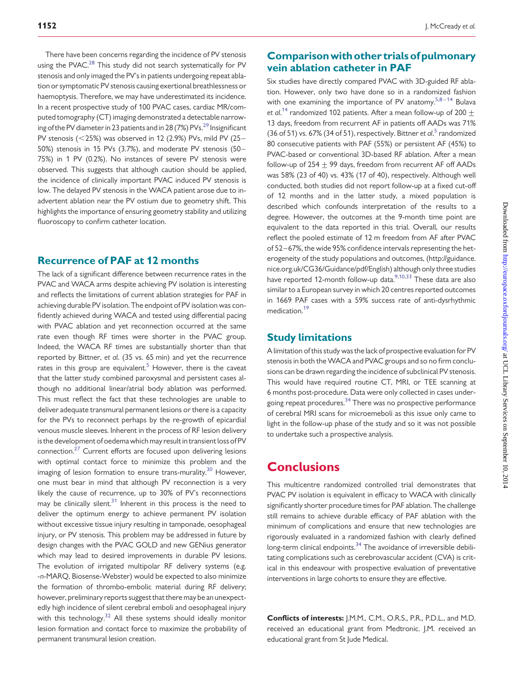There have been concerns regarding the incidence of PV stenosis using the PVAC.<sup>[28](#page-8-0)</sup> This study did not search systematically for PV stenosis and only imaged the PV's in patients undergoing repeat ablation or symptomatic PV stenosis causing exertional breathlessness or haemoptysis. Therefore, we may have underestimated its incidence. In a recent prospective study of 100 PVAC cases, cardiac MR/computed tomography (CT) imaging demonstrated a detectable narrow-ing of the PV diameter in 23 patients and in 28 (7%) PVs.<sup>[29](#page-8-0)</sup> Insignificant PV stenosis ( $<$ 25%) was observed in 12 (2.9%) PVs, mild PV (25– 50%) stenosis in 15 PVs (3.7%), and moderate PV stenosis (50– 75%) in 1 PV (0.2%). No instances of severe PV stenosis were observed. This suggests that although caution should be applied, the incidence of clinically important PVAC induced PV stenosis is low. The delayed PV stenosis in the WACA patient arose due to inadvertent ablation near the PV ostium due to geometry shift. This highlights the importance of ensuring geometry stability and utilizing fluoroscopy to confirm catheter location.

# Recurrence of PAF at 12 months

The lack of a significant difference between recurrence rates in the PVAC and WACA arms despite achieving PV isolation is interesting and reflects the limitations of current ablation strategies for PAF in achieving durable PV isolation. The endpoint of PV isolation was confidently achieved during WACA and tested using differential pacing with PVAC ablation and yet reconnection occurred at the same rate even though RF times were shorter in the PVAC group. Indeed, the WACA RF times are substantially shorter than that reported by Bittner, et al. (35 vs. 65 min) and yet the recurrence rates in this group are equivalent.<sup>[5](#page-8-0)</sup> However, there is the caveat that the latter study combined paroxysmal and persistent cases although no additional linear/atrial body ablation was performed. This must reflect the fact that these technologies are unable to deliver adequate transmural permanent lesions or there is a capacity for the PVs to reconnect perhaps by the re-growth of epicardial venous muscle sleeves. Inherent in the process of RF lesion delivery is the development of oedema which may result in transient loss of PV connection.[27](#page-8-0) Current efforts are focused upon delivering lesions with optimal contact force to minimize this problem and the imaging of lesion formation to ensure trans-murality.<sup>[30](#page-8-0)</sup> However, one must bear in mind that although PV reconnection is a very likely the cause of recurrence, up to 30% of PV's reconnections may be clinically silent. $31$  Inherent in this process is the need to deliver the optimum energy to achieve permanent PV isolation without excessive tissue injury resulting in tamponade, oesophageal injury, or PV stenosis. This problem may be addressed in future by design changes with the PVAC GOLD and new GENius generator which may lead to desired improvements in durable PV lesions. The evolution of irrigated multipolar RF delivery systems (e.g. -n-MARQ, Biosense-Webster) would be expected to also minimize the formation of thrombo-embolic material during RF delivery; however, preliminary reports suggest that there may be an unexpectedly high incidence of silent cerebral emboli and oesophageal injury with this technology. $32$  All these systems should ideally monitor lesion formation and contact force to maximize the probability of permanent transmural lesion creation.

# Comparison with other trials of pulmonary vein ablation catheter in PAF

Six studies have directly compared PVAC with 3D-guided RF ablation. However, only two have done so in a randomized fashion with one examining the importance of PV anatomy. $5,8-14$  $5,8-14$  $5,8-14$  Bulava et al.<sup>[14](#page-8-0)</sup> randomized 102 patients. After a mean follow-up of 200  $\pm$ 13 days, freedom from recurrent AF in patients off AADs was 71% (36 of [5](#page-8-0)1) vs. 67% (34 of 51), respectively. Bittner et al.<sup>5</sup> randomized 80 consecutive patients with PAF (55%) or persistent AF (45%) to PVAC-based or conventional 3D-based RF ablation. After a mean follow-up of  $254 + 99$  days, freedom from recurrent AF off AADs was 58% (23 of 40) vs. 43% (17 of 40), respectively. Although well conducted, both studies did not report follow-up at a fixed cut-off of 12 months and in the latter study, a mixed population is described which confounds interpretation of the results to a degree. However, the outcomes at the 9-month time point are equivalent to the data reported in this trial. Overall, our results reflect the pooled estimate of 12 m freedom from AF after PVAC of 52 –67%, the wide 95% confidence intervals representing the heterogeneity of the study populations and outcomes, [\(http://guidance.](http://guidance.nice.org.uk/CG36/Guidance/pdf/English) [nice.org.uk/CG36/Guidance/pdf/English](http://guidance.nice.org.uk/CG36/Guidance/pdf/English)) although only three studies have reported 12-month follow-up data.<sup>9,10,33</sup> These data are also similar to a European survey in which 20 centres reported outcomes in 1669 PAF cases with a 59% success rate of anti-dysrhythmic medication.<sup>[19](#page-8-0)</sup>

# Study limitations

A limitation of this study was the lack of prospective evaluation for PV stenosis in both theWACA and PVAC groups and so no firm conclusions can be drawn regarding the incidence of subclinical PV stenosis. This would have required routine CT, MRI, or TEE scanning at 6 months post-procedure. Data were only collected in cases under-going repeat procedures.<sup>[34](#page-8-0)</sup> There was no prospective performance of cerebral MRI scans for microemeboli as this issue only came to light in the follow-up phase of the study and so it was not possible to undertake such a prospective analysis.

# **Conclusions**

This multicentre randomized controlled trial demonstrates that PVAC PV isolation is equivalent in efficacy to WACA with clinically significantly shorter procedure times for PAF ablation. The challenge still remains to achieve durable efficacy of PAF ablation with the minimum of complications and ensure that new technologies are rigorously evaluated in a randomized fashion with clearly defined long-term clinical endpoints. $34$  The avoidance of irreversible debilitating complications such as cerebrovascular accident (CVA) is critical in this endeavour with prospective evaluation of preventative interventions in large cohorts to ensure they are effective.

Conflicts of interests: J.M.M., C.M., O.R.S., P.R., P.D.L., and M.D. received an educational grant from Medtronic. J.M. received an educational grant from St Jude Medical.